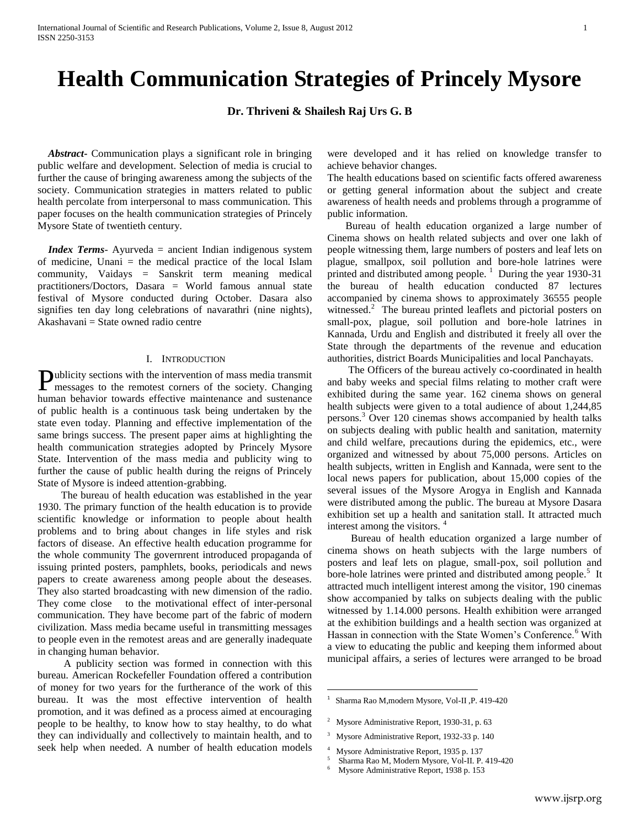## **Health Communication Strategies of Princely Mysore**

**Dr. Thriveni & Shailesh Raj Urs G. B**

 *Abstract***-** Communication plays a significant role in bringing public welfare and development. Selection of media is crucial to further the cause of bringing awareness among the subjects of the society. Communication strategies in matters related to public health percolate from interpersonal to mass communication. This paper focuses on the health communication strategies of Princely Mysore State of twentieth century.

 *Index Terms*- Ayurveda = ancient Indian indigenous system of medicine, Unani = the medical practice of the local Islam community, Vaidays = Sanskrit term meaning medical practitioners/Doctors, Dasara = World famous annual state festival of Mysore conducted during October. Dasara also signifies ten day long celebrations of navarathri (nine nights), Akashavani = State owned radio centre

## I. INTRODUCTION

ublicity sections with the intervention of mass media transmit Publicity sections with the intervention of mass media transmit<br>messages to the remotest corners of the society. Changing human behavior towards effective maintenance and sustenance of public health is a continuous task being undertaken by the state even today. Planning and effective implementation of the same brings success. The present paper aims at highlighting the health communication strategies adopted by Princely Mysore State. Intervention of the mass media and publicity wing to further the cause of public health during the reigns of Princely State of Mysore is indeed attention-grabbing.

 The bureau of health education was established in the year 1930. The primary function of the health education is to provide scientific knowledge or information to people about health problems and to bring about changes in life styles and risk factors of disease. An effective health education programme for the whole community The governrent introduced propaganda of issuing printed posters, pamphlets, books, periodicals and news papers to create awareness among people about the deseases. They also started broadcasting with new dimension of the radio. They come close to the motivational effect of inter-personal communication. They have become part of the fabric of modern civilization. Mass media became useful in transmitting messages to people even in the remotest areas and are generally inadequate in changing human behavior.

 A publicity section was formed in connection with this bureau. American Rockefeller Foundation offered a contribution of money for two years for the furtherance of the work of this bureau. It was the most effective intervention of health promotion, and it was defined as a process aimed at encouraging people to be healthy, to know how to stay healthy, to do what they can individually and collectively to maintain health, and to seek help when needed. A number of health education models

were developed and it has relied on knowledge transfer to achieve behavior changes.

The health educations based on scientific facts offered awareness or getting general information about the subject and create awareness of health needs and problems through a programme of public information.

 Bureau of health education organized a large number of Cinema shows on health related subjects and over one lakh of people witnessing them, large numbers of posters and leaf lets on plague, smallpox, soil pollution and bore-hole latrines were printed and distributed among people.<sup>1</sup> During the year 1930-31 the bureau of health education conducted 87 lectures accompanied by cinema shows to approximately 36555 people witnessed.<sup>2</sup> The bureau printed leaflets and pictorial posters on small-pox, plague, soil pollution and bore-hole latrines in Kannada, Urdu and English and distributed it freely all over the State through the departments of the revenue and education authorities, district Boards Municipalities and local Panchayats.

 The Officers of the bureau actively co-coordinated in health and baby weeks and special films relating to mother craft were exhibited during the same year. 162 cinema shows on general health subjects were given to a total audience of about 1,244,85 persons.<sup>3</sup> Over 120 cinemas shows accompanied by health talks on subjects dealing with public health and sanitation, maternity and child welfare, precautions during the epidemics, etc., were organized and witnessed by about 75,000 persons. Articles on health subjects, written in English and Kannada, were sent to the local news papers for publication, about 15,000 copies of the several issues of the Mysore Arogya in English and Kannada were distributed among the public. The bureau at Mysore Dasara exhibition set up a health and sanitation stall. It attracted much interest among the visitors.<sup>4</sup>

 Bureau of health education organized a large number of cinema shows on heath subjects with the large numbers of posters and leaf lets on plague, small-pox, soil pollution and bore-hole latrines were printed and distributed among people.<sup>5</sup> It attracted much intelligent interest among the visitor, 190 cinemas show accompanied by talks on subjects dealing with the public witnessed by 1.14.000 persons. Health exhibition were arranged at the exhibition buildings and a health section was organized at Hassan in connection with the State Women's Conference.<sup>6</sup> With a view to educating the public and keeping them informed about municipal affairs, a series of lectures were arranged to be broad

- 1 Sharma Rao M,modern Mysore, Vol-II ,P. 419-420
- <sup>2</sup> Mysore Administrative Report, 1930-31, p. 63

 $\overline{a}$ 

- <sup>3</sup> Mysore Administrative Report, 1932-33 p. 140
- 4 Mysore Administrative Report, 1935 p. 137
- 5 Sharma Rao M, Modern Mysore, Vol-II. P. 419-420
- 6 Mysore Administrative Report, 1938 p. 153